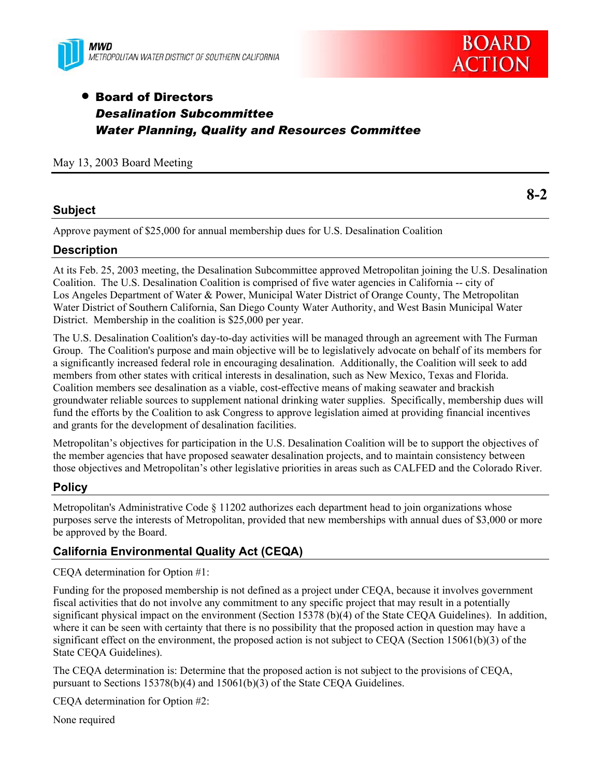



# • Board of Directors *Desalination Subcommittee Water Planning, Quality and Resources Committee*

May 13, 2003 Board Meeting

### **Subject**

**8-2** 

Approve payment of \$25,000 for annual membership dues for U.S. Desalination Coalition

### **Description**

At its Feb. 25, 2003 meeting, the Desalination Subcommittee approved Metropolitan joining the U.S. Desalination Coalition. The U.S. Desalination Coalition is comprised of five water agencies in California -- city of Los Angeles Department of Water & Power, Municipal Water District of Orange County, The Metropolitan Water District of Southern California, San Diego County Water Authority, and West Basin Municipal Water District. Membership in the coalition is \$25,000 per year.

The U.S. Desalination Coalition's day-to-day activities will be managed through an agreement with The Furman Group. The Coalition's purpose and main objective will be to legislatively advocate on behalf of its members for a significantly increased federal role in encouraging desalination. Additionally, the Coalition will seek to add members from other states with critical interests in desalination, such as New Mexico, Texas and Florida. Coalition members see desalination as a viable, cost-effective means of making seawater and brackish groundwater reliable sources to supplement national drinking water supplies. Specifically, membership dues will fund the efforts by the Coalition to ask Congress to approve legislation aimed at providing financial incentives and grants for the development of desalination facilities.

Metropolitan's objectives for participation in the U.S. Desalination Coalition will be to support the objectives of the member agencies that have proposed seawater desalination projects, and to maintain consistency between those objectives and Metropolitan's other legislative priorities in areas such as CALFED and the Colorado River.

## **Policy**

Metropolitan's Administrative Code § 11202 authorizes each department head to join organizations whose purposes serve the interests of Metropolitan, provided that new memberships with annual dues of \$3,000 or more be approved by the Board.

## **California Environmental Quality Act (CEQA)**

CEQA determination for Option #1:

Funding for the proposed membership is not defined as a project under CEQA, because it involves government fiscal activities that do not involve any commitment to any specific project that may result in a potentially significant physical impact on the environment (Section 15378 (b)(4) of the State CEQA Guidelines). In addition, where it can be seen with certainty that there is no possibility that the proposed action in question may have a significant effect on the environment, the proposed action is not subject to CEQA (Section 15061(b)(3) of the State CEQA Guidelines).

The CEQA determination is: Determine that the proposed action is not subject to the provisions of CEQA, pursuant to Sections 15378(b)(4) and 15061(b)(3) of the State CEQA Guidelines.

CEQA determination for Option #2:

None required